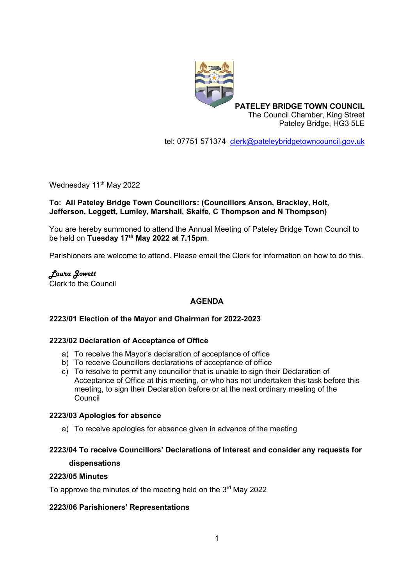

**PATELEY BRIDGE TOWN COUNCIL** The Council Chamber, King Street Pateley Bridge, HG3 5LE

tel: 07751 571374 [clerk@pateleybridgetowncouncil.gov.uk](mailto:clerk@pateleybridgetowncouncil.gov.uk)

Wednesday 11<sup>th</sup> May 2022

## **To: All Pateley Bridge Town Councillors: (Councillors Anson, Brackley, Holt, Jefferson, Leggett, Lumley, Marshall, Skaife, C Thompson and N Thompson)**

You are hereby summoned to attend the Annual Meeting of Pateley Bridge Town Council to be held on **Tuesday 17th May 2022 at 7.15pm**.

Parishioners are welcome to attend. Please email the Clerk for information on how to do this.

*Laura Jowett* Clerk to the Council

# **AGENDA**

### **2223/01 Election of the Mayor and Chairman for 2022-2023**

### **2223/02 Declaration of Acceptance of Office**

- a) To receive the Mayor's declaration of acceptance of office
- b) To receive Councillors declarations of acceptance of office
- c) To resolve to permit any councillor that is unable to sign their Declaration of Acceptance of Office at this meeting, or who has not undertaken this task before this meeting, to sign their Declaration before or at the next ordinary meeting of the Council

#### **2223/03 Apologies for absence**

a) To receive apologies for absence given in advance of the meeting

## **2223/04 To receive Councillors' Declarations of Interest and consider any requests for**

#### **dispensations**

#### **2223/05 Minutes**

To approve the minutes of the meeting held on the  $3<sup>rd</sup>$  May 2022

### **2223/06 Parishioners' Representations**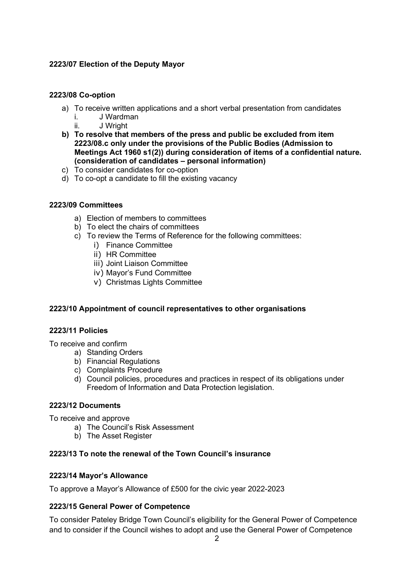## **2223/07 Election of the Deputy Mayor**

### **2223/08 Co-option**

- a) To receive written applications and a short verbal presentation from candidates
	- i. J Wardman
	- ii. J Wright
- **b) To resolve that members of the press and public be excluded from item 2223/08.c only under the provisions of the Public Bodies (Admission to Meetings Act 1960 s1(2)) during consideration of items of a confidential nature. (consideration of candidates – personal information)**
- c) To consider candidates for co-option
- d) To co-opt a candidate to fill the existing vacancy

### **2223/09 Committees**

- a) Election of members to committees
- b) To elect the chairs of committees
- c) To review the Terms of Reference for the following committees:
	- i) Finance Committee
	- ii) HR Committee
	- iii) Joint Liaison Committee
	- iv) Mayor's Fund Committee
	- v) Christmas Lights Committee

### **2223/10 Appointment of council representatives to other organisations**

### **2223/11 Policies**

To receive and confirm

- a) Standing Orders
- b) Financial Regulations
- c) Complaints Procedure
- d) Council policies, procedures and practices in respect of its obligations under Freedom of Information and Data Protection legislation.

### **2223/12 Documents**

To receive and approve

- a) The Council's Risk Assessment
- b) The Asset Register

### **2223/13 To note the renewal of the Town Council's insurance**

### **2223/14 Mayor's Allowance**

To approve a Mayor's Allowance of £500 for the civic year 2022-2023

# **2223/15 General Power of Competence**

To consider Pateley Bridge Town Council's eligibility for the General Power of Competence and to consider if the Council wishes to adopt and use the General Power of Competence